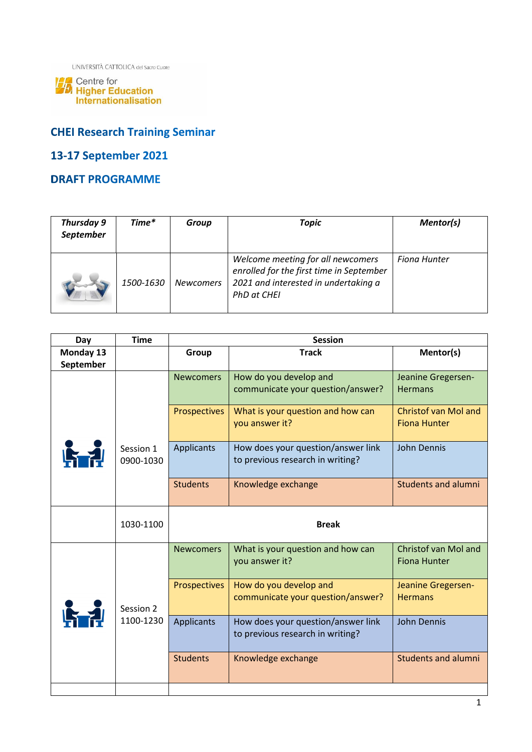UNIVERSITÀ CATTOLICA del Sacro Cuore

**14.** Centre for<br>**14.** Higher Education<br>Internationalisation

# **CHEI Research Training Seminar**

# 13-17 September 2021

### **DRAFT PROGRAMME**

| Thursday 9<br>September | Time*     | Group            | <b>Topic</b>                                                                                                                         | Mentor(s)    |
|-------------------------|-----------|------------------|--------------------------------------------------------------------------------------------------------------------------------------|--------------|
|                         | 1500-1630 | <b>Newcomers</b> | Welcome meeting for all newcomers<br>enrolled for the first time in September<br>2021 and interested in undertaking a<br>PhD at CHEI | Fiona Hunter |

| Day       | <b>Time</b>            | <b>Session</b>        |                                                                        |                                                    |
|-----------|------------------------|-----------------------|------------------------------------------------------------------------|----------------------------------------------------|
| Monday 13 |                        | <b>Track</b><br>Group |                                                                        | Mentor(s)                                          |
| September |                        |                       |                                                                        |                                                    |
|           |                        | <b>Newcomers</b>      | How do you develop and<br>communicate your question/answer?            | Jeanine Gregersen-<br><b>Hermans</b>               |
|           |                        | Prospectives          | What is your question and how can<br>you answer it?                    | <b>Christof van Mol and</b><br><b>Fiona Hunter</b> |
| 临动        | Session 1<br>0900-1030 | Applicants            | How does your question/answer link<br>to previous research in writing? | <b>John Dennis</b>                                 |
|           |                        | <b>Students</b>       | Knowledge exchange                                                     | <b>Students and alumni</b>                         |
|           | 1030-1100              | <b>Break</b>          |                                                                        |                                                    |
| 临动        | Session 2<br>1100-1230 | <b>Newcomers</b>      | What is your question and how can<br>you answer it?                    | Christof van Mol and<br><b>Fiona Hunter</b>        |
|           |                        | Prospectives          | How do you develop and<br>communicate your question/answer?            | Jeanine Gregersen-<br><b>Hermans</b>               |
|           |                        | <b>Applicants</b>     | How does your question/answer link<br>to previous research in writing? | John Dennis                                        |
|           |                        | <b>Students</b>       | Knowledge exchange                                                     | <b>Students and alumni</b>                         |
|           |                        |                       |                                                                        |                                                    |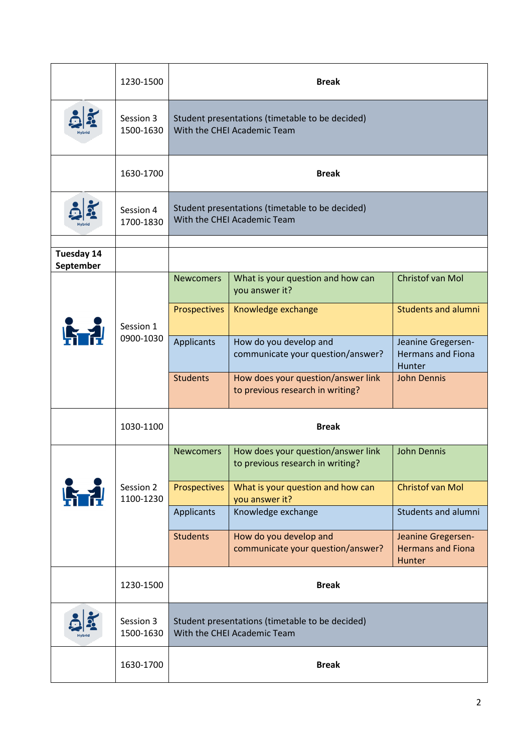|                   | 1230-1500              | <b>Break</b>                                                                   |                                                                        |                                                          |
|-------------------|------------------------|--------------------------------------------------------------------------------|------------------------------------------------------------------------|----------------------------------------------------------|
|                   | Session 3<br>1500-1630 | Student presentations (timetable to be decided)<br>With the CHEI Academic Team |                                                                        |                                                          |
|                   | 1630-1700              | <b>Break</b>                                                                   |                                                                        |                                                          |
|                   | Session 4<br>1700-1830 | Student presentations (timetable to be decided)<br>With the CHEI Academic Team |                                                                        |                                                          |
| <b>Tuesday 14</b> |                        |                                                                                |                                                                        |                                                          |
| September         | Session 1<br>0900-1030 | <b>Newcomers</b>                                                               | What is your question and how can<br>you answer it?                    | Christof van Mol                                         |
|                   |                        | Prospectives                                                                   | Knowledge exchange                                                     | <b>Students and alumni</b>                               |
|                   |                        | Applicants                                                                     | How do you develop and<br>communicate your question/answer?            | Jeanine Gregersen-<br><b>Hermans and Fiona</b><br>Hunter |
|                   |                        | <b>Students</b>                                                                | How does your question/answer link<br>to previous research in writing? | <b>John Dennis</b>                                       |
|                   | 1030-1100              | <b>Break</b>                                                                   |                                                                        |                                                          |
|                   | Session 2<br>1100-1230 | <b>Newcomers</b>                                                               | How does your question/answer link<br>to previous research in writing? | <b>John Dennis</b>                                       |
|                   |                        | <b>Prospectives</b>                                                            | What is your question and how can<br>you answer it?                    | <b>Christof van Mol</b>                                  |
|                   |                        | <b>Applicants</b>                                                              | Knowledge exchange                                                     | Students and alumni                                      |
|                   |                        | <b>Students</b>                                                                | How do you develop and<br>communicate your question/answer?            | Jeanine Gregersen-<br><b>Hermans and Fiona</b><br>Hunter |
|                   | 1230-1500              |                                                                                | <b>Break</b>                                                           |                                                          |
|                   | Session 3<br>1500-1630 | Student presentations (timetable to be decided)<br>With the CHEI Academic Team |                                                                        |                                                          |
|                   | 1630-1700              | <b>Break</b>                                                                   |                                                                        |                                                          |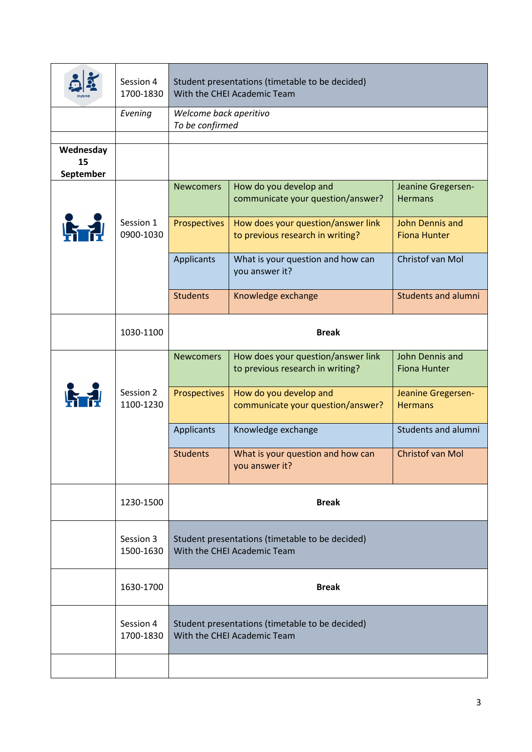|                              | Session 4<br>1700-1830 | Student presentations (timetable to be decided)<br>With the CHEI Academic Team |                                                                        |                                        |
|------------------------------|------------------------|--------------------------------------------------------------------------------|------------------------------------------------------------------------|----------------------------------------|
|                              | Evening                | Welcome back aperitivo<br>To be confirmed                                      |                                                                        |                                        |
|                              |                        |                                                                                |                                                                        |                                        |
| Wednesday<br>15<br>September |                        |                                                                                |                                                                        |                                        |
|                              |                        | <b>Newcomers</b>                                                               | How do you develop and                                                 | Jeanine Gregersen-                     |
|                              |                        |                                                                                | communicate your question/answer?                                      | <b>Hermans</b>                         |
| 哈利                           | Session 1<br>0900-1030 | Prospectives                                                                   | How does your question/answer link<br>to previous research in writing? | John Dennis and<br><b>Fiona Hunter</b> |
|                              |                        | Applicants                                                                     | What is your question and how can<br>you answer it?                    | Christof van Mol                       |
|                              |                        | <b>Students</b>                                                                | Knowledge exchange                                                     | <b>Students and alumni</b>             |
|                              | 1030-1100              | <b>Break</b>                                                                   |                                                                        |                                        |
|                              |                        | <b>Newcomers</b>                                                               | How does your question/answer link<br>to previous research in writing? | John Dennis and<br><b>Fiona Hunter</b> |
|                              | Session 2<br>1100-1230 | Prospectives                                                                   | How do you develop and<br>communicate your question/answer?            | Jeanine Gregersen-<br><b>Hermans</b>   |
|                              |                        | Applicants                                                                     | Knowledge exchange                                                     | Students and alumni                    |
|                              |                        | <b>Students</b>                                                                | What is your question and how can<br>you answer it?                    | Christof van Mol                       |
|                              | 1230-1500              | <b>Break</b>                                                                   |                                                                        |                                        |
|                              | Session 3<br>1500-1630 | Student presentations (timetable to be decided)<br>With the CHEI Academic Team |                                                                        |                                        |
|                              | 1630-1700              | <b>Break</b>                                                                   |                                                                        |                                        |
|                              | Session 4<br>1700-1830 | Student presentations (timetable to be decided)<br>With the CHEI Academic Team |                                                                        |                                        |
|                              |                        |                                                                                |                                                                        |                                        |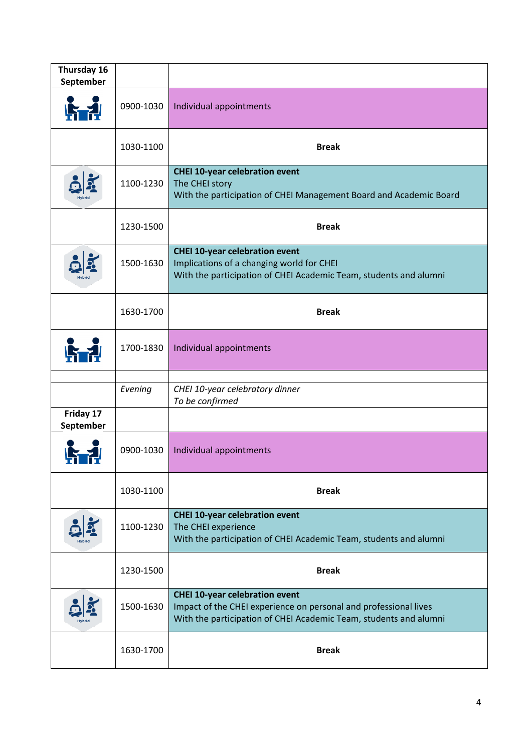| Thursday 16<br>September |           |                                                                                                                                                                                |
|--------------------------|-----------|--------------------------------------------------------------------------------------------------------------------------------------------------------------------------------|
|                          | 0900-1030 | Individual appointments                                                                                                                                                        |
|                          | 1030-1100 | <b>Break</b>                                                                                                                                                                   |
|                          | 1100-1230 | <b>CHEI 10-year celebration event</b><br>The CHEI story<br>With the participation of CHEI Management Board and Academic Board                                                  |
|                          | 1230-1500 | <b>Break</b>                                                                                                                                                                   |
|                          | 1500-1630 | <b>CHEI 10-year celebration event</b><br>Implications of a changing world for CHEI<br>With the participation of CHEI Academic Team, students and alumni                        |
|                          | 1630-1700 | <b>Break</b>                                                                                                                                                                   |
|                          | 1700-1830 | Individual appointments                                                                                                                                                        |
|                          | Evening   | CHEI 10-year celebratory dinner<br>To be confirmed                                                                                                                             |
| Friday 17<br>September   |           |                                                                                                                                                                                |
|                          | 0900-1030 | Individual appointments                                                                                                                                                        |
|                          | 1030-1100 | <b>Break</b>                                                                                                                                                                   |
|                          | 1100-1230 | <b>CHEI 10-year celebration event</b><br>The CHEI experience<br>With the participation of CHEI Academic Team, students and alumni                                              |
|                          | 1230-1500 | <b>Break</b>                                                                                                                                                                   |
|                          | 1500-1630 | <b>CHEI 10-year celebration event</b><br>Impact of the CHEI experience on personal and professional lives<br>With the participation of CHEI Academic Team, students and alumni |
|                          | 1630-1700 | <b>Break</b>                                                                                                                                                                   |